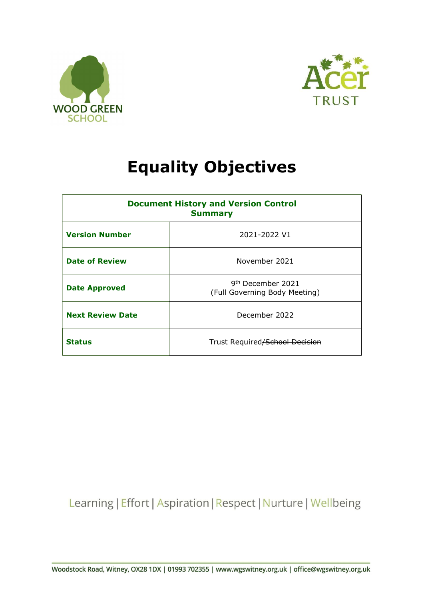



## Equality Objectives

| <b>Document History and Version Control</b><br><b>Summary</b> |                                                                |  |
|---------------------------------------------------------------|----------------------------------------------------------------|--|
| <b>Version Number</b>                                         | 2021-2022 V1                                                   |  |
| <b>Date of Review</b>                                         | November 2021                                                  |  |
| <b>Date Approved</b>                                          | 9 <sup>th</sup> December 2021<br>(Full Governing Body Meeting) |  |
| <b>Next Review Date</b>                                       | December 2022                                                  |  |
| <b>Status</b>                                                 | Trust Required/School Decision                                 |  |

Learning | Effort | Aspiration | Respect | Nurture | Wellbeing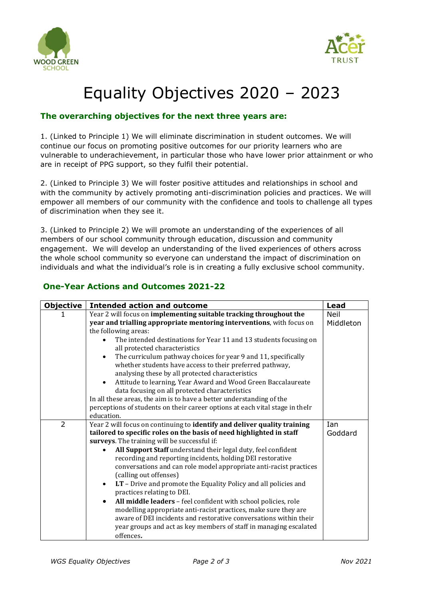



## Equality Objectives 2020 – 2023

## The overarching objectives for the next three years are:

1. (Linked to Principle 1) We will eliminate discrimination in student outcomes. We will continue our focus on promoting positive outcomes for our priority learners who are vulnerable to underachievement, in particular those who have lower prior attainment or who are in receipt of PPG support, so they fulfil their potential.

2. (Linked to Principle 3) We will foster positive attitudes and relationships in school and with the community by actively promoting anti-discrimination policies and practices. We will empower all members of our community with the confidence and tools to challenge all types of discrimination when they see it.

3. (Linked to Principle 2) We will promote an understanding of the experiences of all members of our school community through education, discussion and community engagement. We will develop an understanding of the lived experiences of others across the whole school community so everyone can understand the impact of discrimination on individuals and what the individual's role is in creating a fully exclusive school community.

| <b>Objective</b> | <b>Intended action and outcome</b>                                                                           | <b>Lead</b> |
|------------------|--------------------------------------------------------------------------------------------------------------|-------------|
|                  | Year 2 will focus on implementing suitable tracking throughout the                                           | <b>Neil</b> |
|                  | year and trialling appropriate mentoring interventions, with focus on                                        | Middleton   |
|                  | the following areas:                                                                                         |             |
|                  | The intended destinations for Year 11 and 13 students focusing on<br>all protected characteristics           |             |
|                  | The curriculum pathway choices for year 9 and 11, specifically                                               |             |
|                  | whether students have access to their preferred pathway,<br>analysing these by all protected characteristics |             |
|                  | Attitude to learning, Year Award and Wood Green Baccalaureate                                                |             |
|                  | data focusing on all protected characteristics                                                               |             |
|                  | In all these areas, the aim is to have a better understanding of the                                         |             |
|                  | perceptions of students on their career options at each vital stage in theIr                                 |             |
|                  | education.                                                                                                   |             |
| $\overline{2}$   | Year 2 will focus on continuing to identify and deliver quality training                                     | <b>Ian</b>  |
|                  | tailored to specific roles on the basis of need highlighted in staff                                         | Goddard     |
|                  | surveys. The training will be successful if:                                                                 |             |
|                  | All Support Staff understand their legal duty, feel confident                                                |             |
|                  | recording and reporting incidents, holding DEI restorative                                                   |             |
|                  | conversations and can role model appropriate anti-racist practices<br>(calling out offenses)                 |             |
|                  | LT - Drive and promote the Equality Policy and all policies and<br>practices relating to DEI.                |             |
|                  | All middle leaders - feel confident with school policies, role                                               |             |
|                  | modelling appropriate anti-racist practices, make sure they are                                              |             |
|                  | aware of DEI incidents and restorative conversations within their                                            |             |
|                  | year groups and act as key members of staff in managing escalated                                            |             |
|                  | offences.                                                                                                    |             |

## One-Year Actions and Outcomes 2021-22